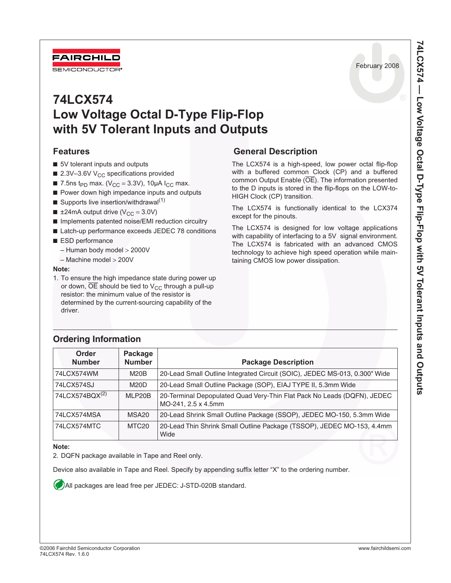February 2008



# **Features**

FAIRCHILD

- 5V tolerant inputs and outputs
- $\blacksquare$  2.3V-3.6V V<sub>CC</sub> specifications provided
- 7.5ns t<sub>PD</sub> max. ( $V_{CC}$  = 3.3V), 10µA  $I_{CC}$  max.
- Power down high impedance inputs and outputs
- **Supports live insertion/withdrawal**<sup>(1)</sup>
- ±24mA output drive ( $V_{CC}$  = 3.0V)
- Implements patented noise/EMI reduction circuitry
- Latch-up performance exceeds JEDEC 78 conditions
- ESD performance
	- Human body model > 2000V
	- Machine model > 200V

#### **Note:**

1. To ensure the high impedance state during power up or down,  $\overline{OE}$  should be tied to  $V_{CC}$  through a pull-up resistor: the minimum value of the resistor is determined by the current-sourcing capability of the driver.

### **General Description**

The LCX574 is a high-speed, low power octal flip-flop with a buffered common Clock (CP) and a buffered common Output Enable (OE). The information presented to the D inputs is stored in the flip-flops on the LOW-to-HIGH Clock (CP) transition.

The LCX574 is functionally identical to the LCX374 except for the pinouts.

The LCX574 is designed for low voltage applications with capability of interfacing to a 5V signal environment. The LCX574 is fabricated with an advanced CMOS technology to achieve high speed operation while maintaining CMOS low power dissipation.

| Order<br><b>Number</b>     | Package<br><b>Number</b> | <b>Package Description</b>                                                                     |
|----------------------------|--------------------------|------------------------------------------------------------------------------------------------|
| 74LCX574WM                 | M20B                     | 20-Lead Small Outline Integrated Circuit (SOIC), JEDEC MS-013, 0.300" Wide                     |
| 74LCX574SJ                 | M20D                     | 20-Lead Small Outline Package (SOP), EIAJ TYPE II, 5.3mm Wide                                  |
| 74LCX574BQX <sup>(2)</sup> | MLP20B                   | 20-Terminal Depopulated Quad Very-Thin Flat Pack No Leads (DQFN), JEDEC<br>MO-241, 2.5 x 4.5mm |
| 74LCX574MSA                | MSA <sub>20</sub>        | 20-Lead Shrink Small Outline Package (SSOP), JEDEC MO-150, 5.3mm Wide                          |
| 74LCX574MTC                | MTC <sub>20</sub>        | 20-Lead Thin Shrink Small Outline Package (TSSOP), JEDEC MO-153, 4.4mm<br>Wide                 |

### **Ordering Information**

#### **Note:**

2. DQFN package available in Tape and Reel only.

Device also available in Tape and Reel. Specify by appending suffix letter "X" to the ordering number.

All packages are lead free per JEDEC: J-STD-020B standard.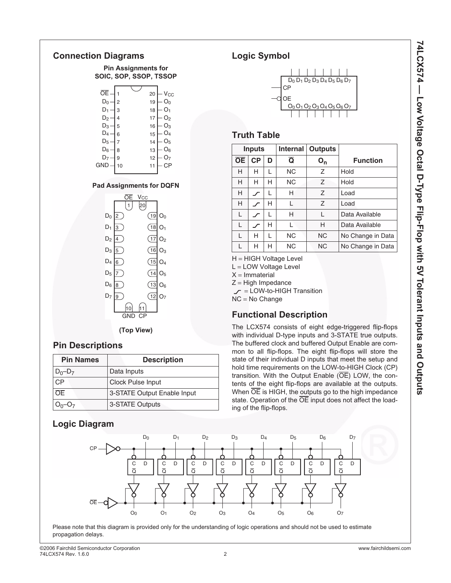

# **Pin Descriptions**

| <b>Pin Names</b> | <b>Description</b>          |  |  |  |
|------------------|-----------------------------|--|--|--|
| $D_0 - D_7$      | Data Inputs                 |  |  |  |
| CР               | <b>Clock Pulse Input</b>    |  |  |  |
| ŌΕ               | 3-STATE Output Enable Input |  |  |  |
| $0_0$ – $O_7$    | 3-STATE Outputs             |  |  |  |

# **Logic Diagram**

# **Logic Symbol**



### **Truth Table**

|           | Internal<br><b>Inputs</b> |   | <b>Outputs</b> |                |                   |
|-----------|---------------------------|---|----------------|----------------|-------------------|
| <b>OE</b> | CP                        | D | Ō              | 0 <sub>ո</sub> | <b>Function</b>   |
| н         | н                         | L | <b>NC</b>      | Ζ              | Hold              |
| н         | н                         | н | <b>NC</b>      | $\overline{z}$ | Hold              |
| н         |                           |   | н              | $\overline{z}$ | Load              |
| H         |                           | н |                | $\overline{z}$ | Load              |
| L         |                           |   | н              | L              | Data Available    |
| L         |                           | н |                | н              | Data Available    |
| L         | н                         |   | <b>NC</b>      | <b>NC</b>      | No Change in Data |
| L         | н                         | н | <b>NC</b>      | <b>NC</b>      | No Change in Data |

H = HIGH Voltage Level

L = LOW Voltage Level

 $X = Immaterial$ 

 $Z = High Impedance$ 

 $r =$  LOW-to-HIGH Transition NC = No Change

# **Functional Description**

The LCX574 consists of eight edge-triggered flip-flops with individual D-type inputs and 3-STATE true outputs. The buffered clock and buffered Output Enable are common to all flip-flops. The eight flip-flops will store the state of their individual D inputs that meet the setup and hold time requirements on the LOW-to-HIGH Clock (CP) transition. With the Output Enable  $(\overline{OE})$  LOW, the contents of the eight flip-flops are available at the outputs. When  $\overline{OE}$  is HIGH, the outputs go to the high impedance state. Operation of the  $\overline{OE}$  input does not affect the loading of the flip-flops.



Please note that this diagram is provided only for the understanding of logic operations and should not be used to estimate propagation delays.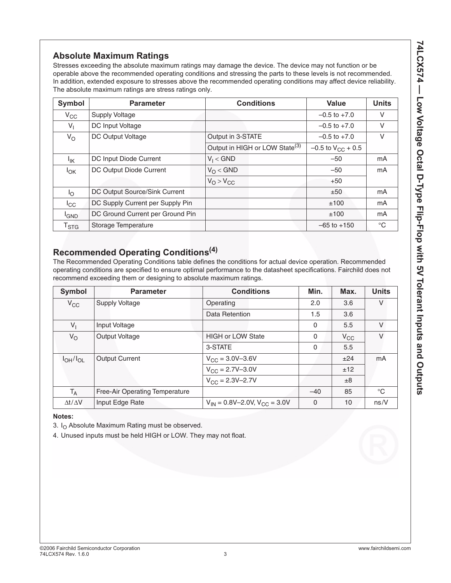# **Absolute Maximum Ratings**

Stresses exceeding the absolute maximum ratings may damage the device. The device may not function or be operable above the recommended operating conditions and stressing the parts to these levels is not recommended. In addition, extended exposure to stresses above the recommended operating conditions may affect device reliability. The absolute maximum ratings are stress ratings only.

| Symbol                      | <b>Parameter</b>                 | <b>Conditions</b>                          | <b>Value</b>             | <b>Units</b> |
|-----------------------------|----------------------------------|--------------------------------------------|--------------------------|--------------|
| $V_{\rm CC}$                | Supply Voltage                   |                                            | $-0.5$ to $+7.0$         | ٧            |
| $V_{\parallel}$             | DC Input Voltage                 |                                            | $-0.5$ to $+7.0$         | V            |
| $V_{\rm O}$                 | DC Output Voltage                | Output in 3-STATE                          | $-0.5$ to $+7.0$         | V            |
|                             |                                  | Output in HIGH or LOW State <sup>(3)</sup> | $-0.5$ to $V_{CC}$ + 0.5 |              |
| Ιıκ                         | DC Input Diode Current           | $V_1 < GND$                                | $-50$                    | mA           |
| $I_{OK}$                    | DC Output Diode Current          | $V_{\Omega}$ < GND                         | $-50$                    | mA           |
|                             |                                  | $V_{\Omega} > V_{\text{CC}}$               | $+50$                    |              |
| Ιo                          | DC Output Source/Sink Current    |                                            | ±50                      | mA           |
| $_{\rm{ICC}}$               | DC Supply Current per Supply Pin |                                            | ±100                     | mA           |
| <sup>I</sup> GND            | DC Ground Current per Ground Pin |                                            | ±100                     | mA           |
| $\mathsf{T}_{\textsf{STG}}$ | Storage Temperature              |                                            | $-65$ to $+150$          | $^{\circ}C$  |

# **Recommended Operating Conditions(4)**

The Recommended Operating Conditions table defines the conditions for actual device operation. Recommended operating conditions are specified to ensure optimal performance to the datasheet specifications. Fairchild does not recommend exceeding them or designing to absolute maximum ratings.

| <b>Symbol</b>       | <b>Parameter</b>               | <b>Conditions</b>                        | Min.     | Max.     | <b>Units</b> |
|---------------------|--------------------------------|------------------------------------------|----------|----------|--------------|
| $V_{CC}$            | <b>Supply Voltage</b>          | Operating                                | 2.0      | 3.6      | V            |
|                     |                                | Data Retention                           | 1.5      | 3.6      |              |
| $V_{1}$             | Input Voltage                  |                                          | $\Omega$ | 5.5      | $\vee$       |
| $V_{\rm O}$         | <b>Output Voltage</b>          | <b>HIGH or LOW State</b>                 | $\Omega$ | $V_{CC}$ | $\vee$       |
|                     |                                | 3-STATE                                  | $\Omega$ | 5.5      |              |
| $I_{OH}/I_{OL}$     | <b>Output Current</b>          | $V_{CC} = 3.0V - 3.6V$                   |          | ±24      | mA           |
|                     |                                | $V_{CC} = 2.7V - 3.0V$                   |          | ±12      |              |
|                     |                                | $V_{CC} = 2.3V - 2.7V$                   |          | ±8       |              |
| $T_A$               | Free-Air Operating Temperature |                                          | $-40$    | 85       | $^{\circ}C$  |
| $\Delta t/\Delta V$ | Input Edge Rate                | $V_{IN} = 0.8V - 2.0V$ , $V_{CC} = 3.0V$ | $\Omega$ | 10       | ns/V         |

### **Notes:**

3.  $I<sub>O</sub>$  Absolute Maximum Rating must be observed.

4. Unused inputs must be held HIGH or LOW. They may not float.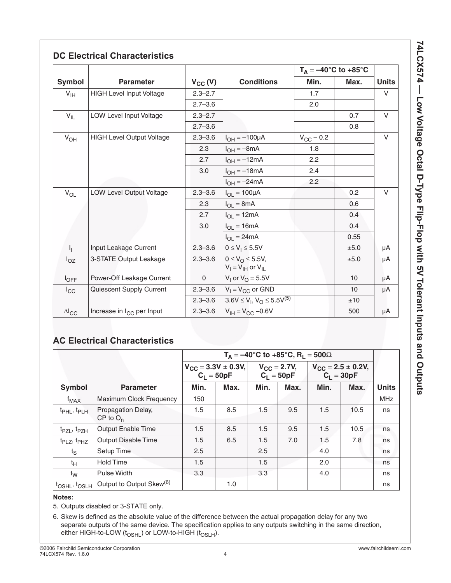|                 |                                       |              |                                                               | $T_A = -40$ °C to +85°C |                 |              |
|-----------------|---------------------------------------|--------------|---------------------------------------------------------------|-------------------------|-----------------|--------------|
| <b>Symbol</b>   | <b>Parameter</b>                      | $V_{CC} (V)$ | <b>Conditions</b>                                             | Min.                    | Max.            | <b>Units</b> |
| $V_{\text{IH}}$ | <b>HIGH Level Input Voltage</b>       | $2.3 - 2.7$  |                                                               | 1.7                     |                 | $\vee$       |
|                 |                                       | $2.7 - 3.6$  |                                                               | 2.0                     |                 |              |
| $V_{IL}$        | LOW Level Input Voltage               | $2.3 - 2.7$  |                                                               |                         | 0.7             | $\vee$       |
|                 |                                       | $2.7 - 3.6$  |                                                               |                         | 0.8             |              |
| $V_{OH}$        | <b>HIGH Level Output Voltage</b>      | $2.3 - 3.6$  | $I_{OH} = -100 \mu A$                                         | $V_{\rm CC}$ – 0.2      |                 | $\vee$       |
|                 |                                       | 2.3          | $I_{OH} = -8mA$                                               | 1.8                     |                 |              |
|                 |                                       | 2.7          | $I_{OH} = -12mA$                                              | 2.2                     |                 |              |
|                 |                                       | 3.0          | $I_{OH} = -18mA$                                              | 2.4                     |                 |              |
|                 |                                       |              | $I_{OH} = -24mA$                                              | 2.2                     |                 |              |
| $V_{OL}$        | <b>LOW Level Output Voltage</b>       | $2.3 - 3.6$  | $I_{OL} = 100 \mu A$                                          |                         | 0.2             | $\vee$       |
|                 |                                       | 2.3          | $I_{OL} = 8mA$                                                |                         | 0.6             |              |
|                 |                                       | 2.7          | $I_{OL} = 12mA$                                               |                         | 0.4             |              |
|                 |                                       | 3.0          | $I_{OL} = 16mA$                                               |                         | 0.4             |              |
|                 |                                       |              | $I_{OL} = 24mA$                                               |                         | 0.55            |              |
| $I_{\rm L}$     | Input Leakage Current                 | $2.3 - 3.6$  | $0 \le V_1 \le 5.5V$                                          |                         | ±5.0            | μA           |
| $I_{OZ}$        | 3-STATE Output Leakage                | $2.3 - 3.6$  | $0 \leq V_{\Omega} \leq 5.5V$ ,<br>$V_I = V_{IH}$ or $V_{IL}$ |                         | ±5.0            | μA           |
| $I_{OFF}$       | Power-Off Leakage Current             | $\mathbf 0$  | $V_1$ or $V_0 = 5.5V$                                         |                         | 10 <sup>°</sup> | μA           |
| $I_{\rm CC}$    | Quiescent Supply Current              | $2.3 - 3.6$  | $V_1 = V_{CC}$ or GND                                         |                         | 10 <sup>°</sup> | μA           |
|                 |                                       | $2.3 - 3.6$  | $3.6V \le V_1, V_0 \le 5.5V^{(5)}$                            |                         | ±10             |              |
| $\Delta I_{CC}$ | Increase in I <sub>CC</sub> per Input | $2.3 - 3.6$  | $V_{IH} = V_{CC} -0.6V$                                       |                         | 500             | μA           |

# **AC Electrical Characteristics**

|                                       |                                      | $T_A = -40^{\circ}C$ to +85°C, R <sub>1</sub> = 500 $\Omega$ |                                           |                                  |      |                                                   |      |              |
|---------------------------------------|--------------------------------------|--------------------------------------------------------------|-------------------------------------------|----------------------------------|------|---------------------------------------------------|------|--------------|
|                                       |                                      |                                                              | $V_{CC} = 3.3V \pm 0.3V,$<br>$C_1 = 50pF$ | $V_{CC} = 2.7V,$<br>$C_1 = 50pF$ |      | $V_{CC} = 2.5 \pm 0.2V,$<br>C <sub>L</sub> = 30pF |      |              |
| <b>Symbol</b>                         | <b>Parameter</b>                     | Min.                                                         | Max.                                      | Min.                             | Max. | Min.                                              | Max. | <b>Units</b> |
| $f_{MAX}$                             | <b>Maximum Clock Frequency</b>       | 150                                                          |                                           |                                  |      |                                                   |      | <b>MHz</b>   |
| t <sub>PHL</sub> , t <sub>PLH</sub>   | Propagation Delay,<br>$CP$ to $O_n$  | 1.5                                                          | 8.5                                       | 1.5                              | 9.5  | 1.5                                               | 10.5 | ns           |
| t <sub>PZL</sub> , t <sub>PZH</sub>   | <b>Output Enable Time</b>            | 1.5                                                          | 8.5                                       | 1.5                              | 9.5  | 1.5                                               | 10.5 | ns           |
| t <sub>PLZ</sub> , t <sub>PHZ</sub>   | <b>Output Disable Time</b>           | 1.5                                                          | 6.5                                       | 1.5                              | 7.0  | 1.5                                               | 7.8  | ns           |
| $t_S$                                 | <b>Setup Time</b>                    | 2.5                                                          |                                           | 2.5                              |      | 4.0                                               |      | ns           |
| $t_H$                                 | <b>Hold Time</b>                     | 1.5                                                          |                                           | 1.5                              |      | 2.0                                               |      | ns           |
| $t_{\rm W}$                           | <b>Pulse Width</b>                   | 3.3                                                          |                                           | 3.3                              |      | 4.0                                               |      | ns           |
| t <sub>OSHL</sub> , t <sub>OSLH</sub> | Output to Output Skew <sup>(6)</sup> |                                                              | 1.0                                       |                                  |      |                                                   |      | ns           |

### **Notes:**

5. Outputs disabled or 3-STATE only.

6. Skew is defined as the absolute value of the difference between the actual propagation delay for any two separate outputs of the same device. The specification applies to any outputs switching in the same direction, either HIGH-to-LOW ( $t_{\text{OSHL}}$ ) or LOW-to-HIGH ( $t_{\text{OSLH}}$ ).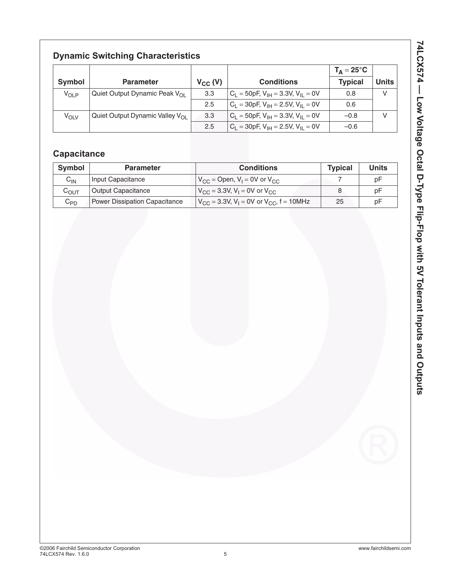# **Dynamic Switching Characteristics**

|                  |                                          |              |                                                | $T_A = 25^{\circ}C$ |              |
|------------------|------------------------------------------|--------------|------------------------------------------------|---------------------|--------------|
| Symbol           | <b>Parameter</b>                         | $V_{CC} (V)$ | <b>Conditions</b>                              | <b>Typical</b>      | <b>Units</b> |
| $V_{OLP}$        | Quiet Output Dynamic Peak $V_{\Omega}$   | 3.3          | $C_1 = 50pF$ , $V_{IH} = 3.3V$ , $V_{II} = 0V$ | 0.8                 | V            |
|                  |                                          | 2.5          | $C_1 = 30pF, V_{1H} = 2.5V, V_{1I} = 0V$       | 0.6                 |              |
| V <sub>OLV</sub> | Quiet Output Dynamic Valley $V_{\Omega}$ | 3.3          | $C_1 = 50pF, V_{1H} = 3.3V, V_{1I} = 0V$       | $-0.8$              | $\mathsf{V}$ |
|                  |                                          | 2.5          | $C_1 = 30pF, V_{1H} = 2.5V, V_{1I} = 0V$       | $-0.6$              |              |

# **Capacitance**

| <b>Symbol</b>      | <b>Parameter</b>              | <b>Conditions</b>                                                       | <b>Typical</b> | <b>Units</b> |
|--------------------|-------------------------------|-------------------------------------------------------------------------|----------------|--------------|
| $C_{IN}$           | Input Capacitance             | $V_{CC}$ = Open, $V_1$ = 0V or $V_{CC}$                                 |                | рF           |
| $\mathrm{C_{OUT}}$ | <b>Output Capacitance</b>     | $V_{\rm CC}$ = 3.3V, V <sub>1</sub> = 0V or V <sub>CC</sub>             |                | рF           |
| $C_{PD}$           | Power Dissipation Capacitance | $V_{\rm CC}$ = 3.3V, V <sub>I</sub> = 0V or V <sub>CC</sub> , f = 10MHz | 25             | рF           |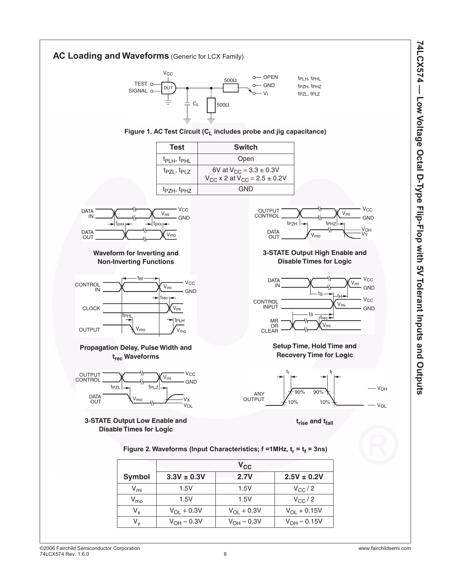

 $V_y$   $V_{OH} - 0.3V$   $V_{OH} - 0.3V$   $V_{OH} - 0.15V$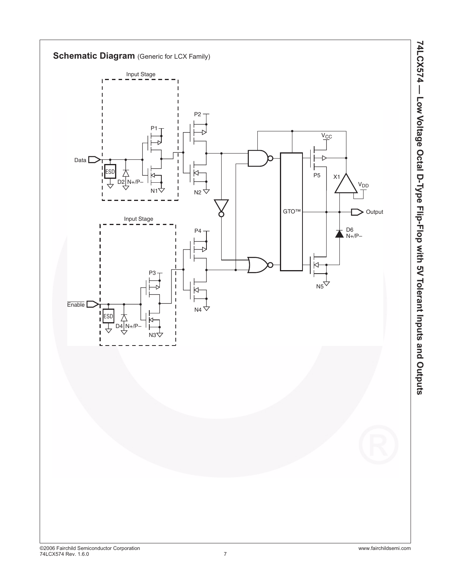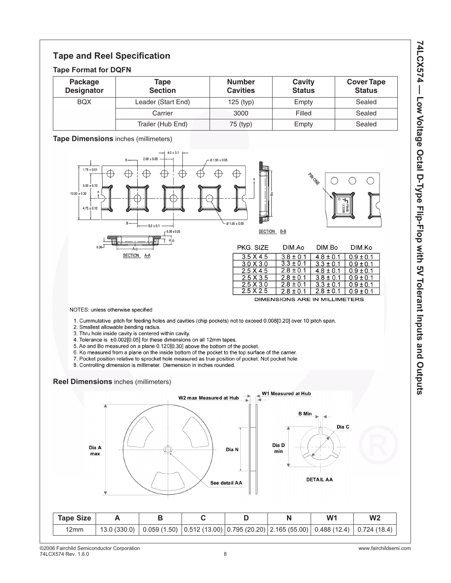# **Tape and Reel Specification**

### **Tape Format for DQFN**

| Package<br><b>Designator</b> | Tape<br><b>Section</b> | <b>Number</b><br><b>Cavities</b> | Cavity<br><b>Status</b> | <b>Cover Tape</b><br><b>Status</b> |
|------------------------------|------------------------|----------------------------------|-------------------------|------------------------------------|
| <b>BQX</b>                   | Leader (Start End)     | $125$ (typ)                      | Empty                   | Sealed                             |
|                              | Carrier                | 3000                             | Filled                  | Sealed                             |
|                              | Trailer (Hub End)      | 75 (typ)                         | Empty                   | Sealed                             |

### **Tape Dimensions** inches (millimeters)



| Dia A<br>max     |              |             |   | Dia N<br>See detail AA | Dia D<br>min                                                          | Dia C<br><b>DETAIL AA</b> |                |
|------------------|--------------|-------------|---|------------------------|-----------------------------------------------------------------------|---------------------------|----------------|
| <b>Tape Size</b> | A            | В           | C | D                      | N                                                                     | W <sub>1</sub>            | W <sub>2</sub> |
| 12mm             | 13.0 (330.0) | 0.059(1.50) |   |                        | $\mid$ 0.512 (13.00) $\mid$ 0.795 (20.20) $\mid$ 2.165 (55.00) $\mid$ | 0.488(12.4)               | 0.724(18.4)    |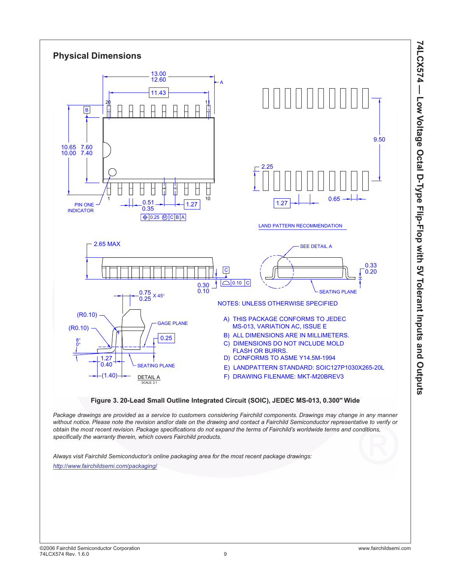

### **Figure 3. 20-Lead Small Outline Integrated Circuit (SOIC), JEDEC MS-013, 0.300" Wide**

*Package drawings are provided as a service to customers considering Fairchild components. Drawings may change in any manner without notice. Please note the revision and/or date on the drawing and contact a Fairchild Semiconductor representative to verify or obtain the most recent revision. Package specifications do not expand the terms of Fairchild's worldwide terms and conditions, specifically the warranty therein, which covers Fairchild products.*

*Always visit Fairchild Semiconductor's online packaging area for the most recent package drawings: <http://www.fairchildsemi.com/packaging/>*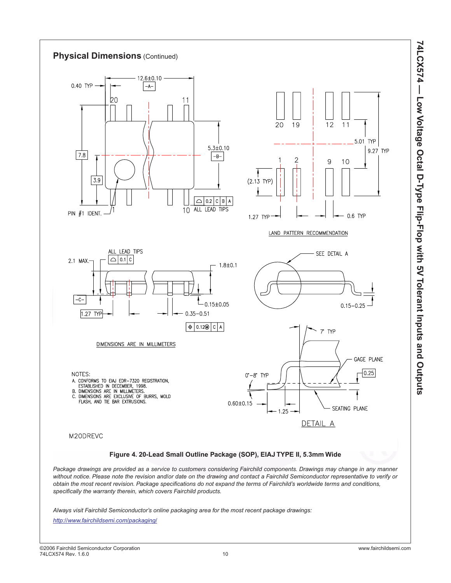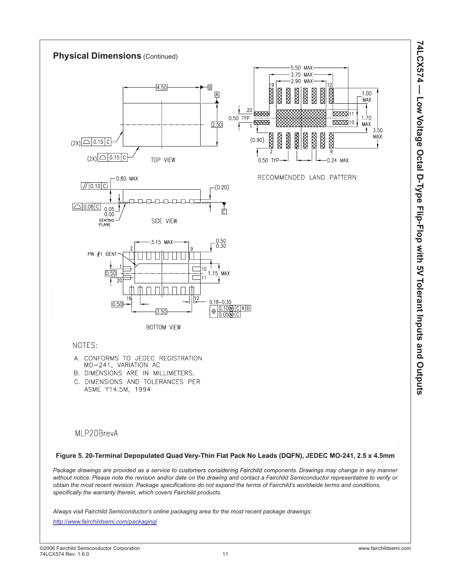

### MLP20BrevA

#### **Figure 5. 20-Terminal Depopulated Quad Very-Thin Flat Pack No Leads (DQFN), JEDEC MO-241, 2.5 x 4.5mm**

*Package drawings are provided as a service to customers considering Fairchild components. Drawings may change in any manner without notice. Please note the revision and/or date on the drawing and contact a Fairchild Semiconductor representative to verify or obtain the most recent revision. Package specifications do not expand the terms of Fairchild's worldwide terms and conditions, specifically the warranty therein, which covers Fairchild products.*

*Always visit Fairchild Semiconductor's online packaging area for the most recent package drawings:*

*<http://www.fairchildsemi.com/packaging/>*

**74LCX574 — Low Voltage Octal D-Type Flip-Flop with 5V Tolerant Inputs and Outputs**

74LCX574 — Low Voltage Octal D-Type Flip-Flop with 5V Tolerant Inputs and Outputs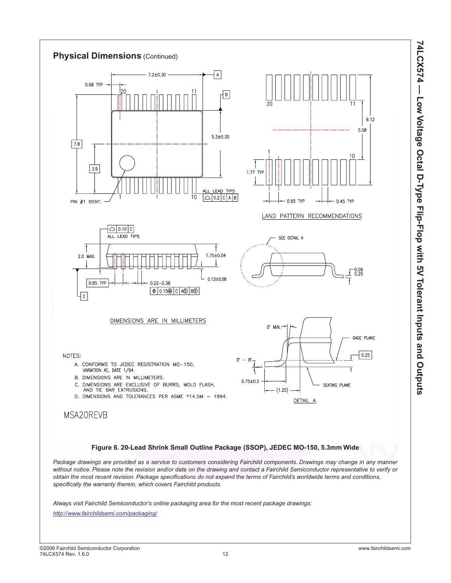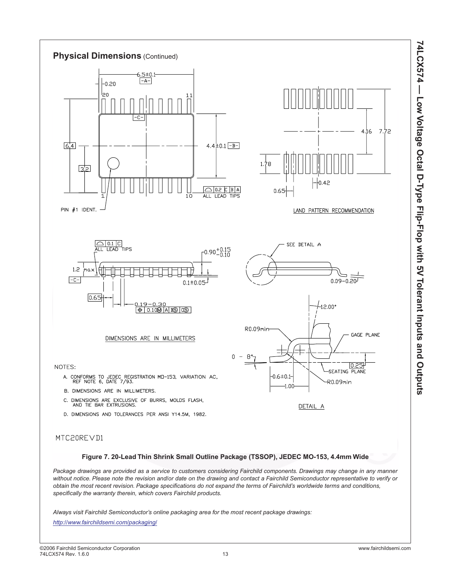

D. DIMENSIONS AND TOLERANCES PER ANSI Y14.5M, 1982.

### MTC20REVD1

### **Figure 7. 20-Lead Thin Shrink Small Outline Package (TSSOP), JEDEC MO-153, 4.4mm Wide**

*Package drawings are provided as a service to customers considering Fairchild components. Drawings may change in any manner without notice. Please note the revision and/or date on the drawing and contact a Fairchild Semiconductor representative to verify or obtain the most recent revision. Package specifications do not expand the terms of Fairchild's worldwide terms and conditions, specifically the warranty therein, which covers Fairchild products.*

*Always visit Fairchild Semiconductor's online packaging area for the most recent package drawings:*

*<http://www.fairchildsemi.com/packaging/>*

**74LCX574 — Low Voltage Octal D-Type Flip-Flop with 5V Tolerant Inputs and Outputs**

74LCX574 — Low Voltage Octal D-Type Flip-Flop with 5V Tolerant Inputs and Outputs